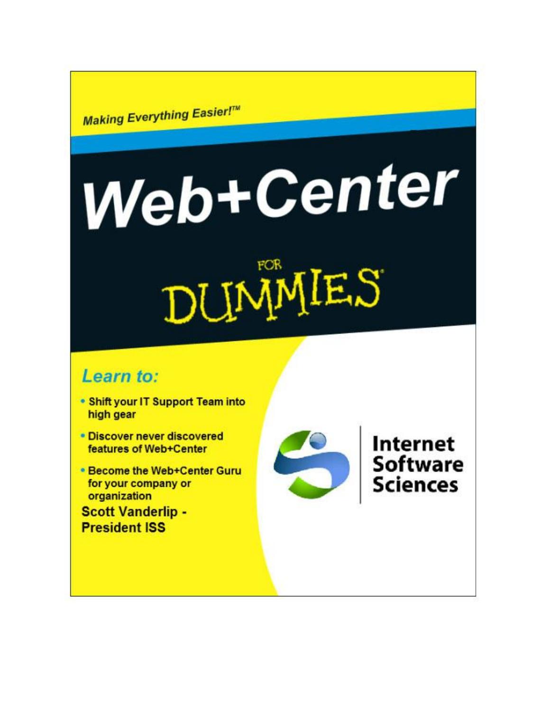Making Everything Easier!™

# Web+Center DUNMIES

## Learn to:

- . Shift your IT Support Team into high gear
- . Discover never discovered features of Web+Center
- Become the Web+Center Guru for your company or organization **Scott Vanderlip -**

**President ISS** 



**Internet Software** Sciences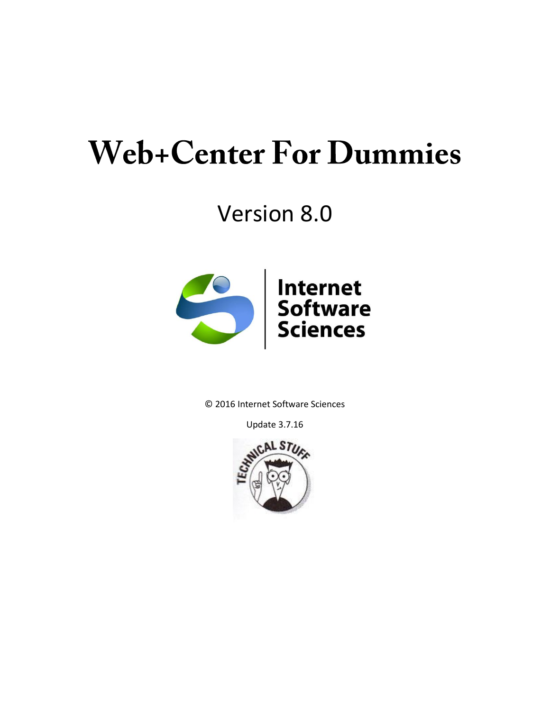# **Web+Center For Dummies**

## Version 8.0



© 2016 Internet Software Sciences

Update 3.7.16

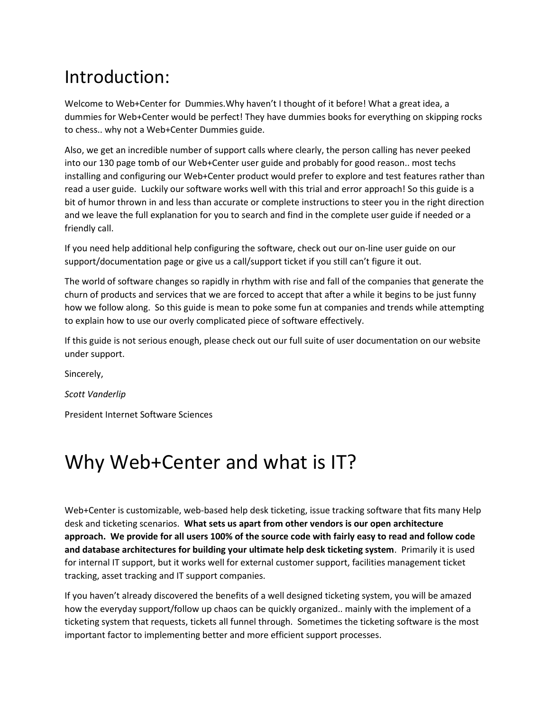## Introduction:

Welcome to Web+Center for Dummies.Why haven't I thought of it before! What a great idea, a dummies for Web+Center would be perfect! They have dummies books for everything on skipping rocks to chess.. why not a Web+Center Dummies guide.

Also, we get an incredible number of support calls where clearly, the person calling has never peeked into our 130 page tomb of our Web+Center user guide and probably for good reason.. most techs installing and configuring our Web+Center product would prefer to explore and test features rather than read a user guide. Luckily our software works well with this trial and error approach! So this guide is a bit of humor thrown in and less than accurate or complete instructions to steer you in the right direction and we leave the full explanation for you to search and find in the complete user guide if needed or a friendly call.

If you need help additional help configuring the software, check out our on-line user guide on our support/documentation page or give us a call/support ticket if you still can't figure it out.

The world of software changes so rapidly in rhythm with rise and fall of the companies that generate the churn of products and services that we are forced to accept that after a while it begins to be just funny how we follow along. So this guide is mean to poke some fun at companies and trends while attempting to explain how to use our overly complicated piece of software effectively.

If this guide is not serious enough, please check out our full suite of user documentation on our website under support.

Sincerely,

*Scott Vanderlip*

President Internet Software Sciences

## Why Web+Center and what is IT?

Web+Center is customizable, web-based help desk ticketing, issue tracking software that fits many Help desk and ticketing scenarios. **What sets us apart from other vendors is our open architecture approach. We provide for all users 100% of the source code with fairly easy to read and follow code and database architectures for building your ultimate help desk ticketing system**. Primarily it is used for internal IT support, but it works well for external customer support, facilities management ticket tracking, asset tracking and IT support companies.

If you haven't already discovered the benefits of a well designed ticketing system, you will be amazed how the everyday support/follow up chaos can be quickly organized.. mainly with the implement of a ticketing system that requests, tickets all funnel through. Sometimes the ticketing software is the most important factor to implementing better and more efficient support processes.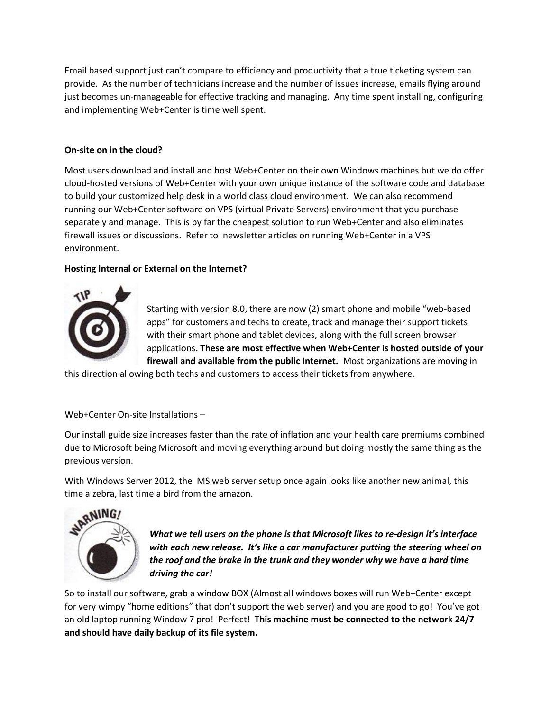Email based support just can't compare to efficiency and productivity that a true ticketing system can provide. As the number of technicians increase and the number of issues increase, emails flying around just becomes un-manageable for effective tracking and managing. Any time spent installing, configuring and implementing Web+Center is time well spent.

#### **On-site on in the cloud?**

Most users download and install and host Web+Center on their own Windows machines but we do offer cloud-hosted versions of Web+Center with your own unique instance of the software code and database to build your customized help desk in a world class cloud environment. We can also recommend running our Web+Center software on VPS (virtual Private Servers) environment that you purchase separately and manage. This is by far the cheapest solution to run Web+Center and also eliminates firewall issues or discussions. Refer to newsletter articles on running Web+Center in a VPS environment.

#### **Hosting Internal or External on the Internet?**



Starting with version 8.0, there are now (2) smart phone and mobile "web-based apps" for customers and techs to create, track and manage their support tickets with their smart phone and tablet devices, along with the full screen browser applications**. These are most effective when Web+Center is hosted outside of your firewall and available from the public Internet.** Most organizations are moving in

this direction allowing both techs and customers to access their tickets from anywhere.

#### Web+Center On-site Installations –

Our install guide size increases faster than the rate of inflation and your health care premiums combined due to Microsoft being Microsoft and moving everything around but doing mostly the same thing as the previous version.

With Windows Server 2012, the MS web server setup once again looks like another new animal, this time a zebra, last time a bird from the amazon.



*What we tell users on the phone is that Microsoft likes to re-design it's interface with each new release. It's like a car manufacturer putting the steering wheel on the roof and the brake in the trunk and they wonder why we have a hard time driving the car!*

So to install our software, grab a window BOX (Almost all windows boxes will run Web+Center except for very wimpy "home editions" that don't support the web server) and you are good to go! You've got an old laptop running Window 7 pro! Perfect! **This machine must be connected to the network 24/7 and should have daily backup of its file system.**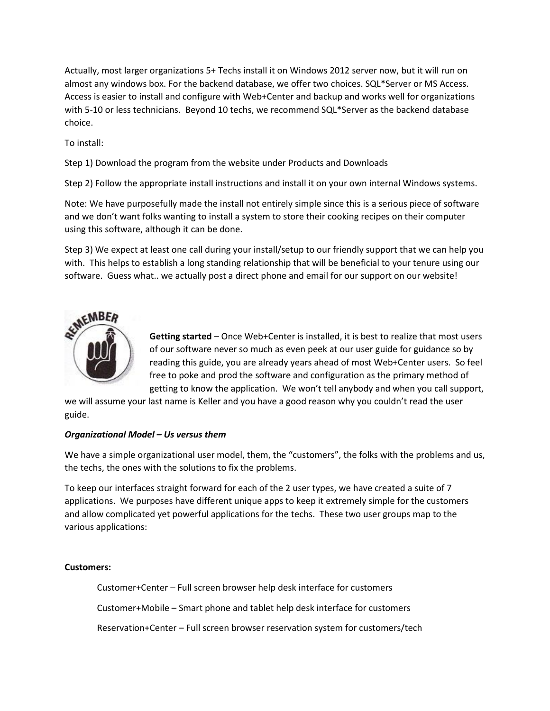Actually, most larger organizations 5+ Techs install it on Windows 2012 server now, but it will run on almost any windows box. For the backend database, we offer two choices. SQL\*Server or MS Access. Access is easier to install and configure with Web+Center and backup and works well for organizations with 5-10 or less technicians. Beyond 10 techs, we recommend SQL\*Server as the backend database choice.

To install:

Step 1) Download the program from the website under Products and Downloads

Step 2) Follow the appropriate install instructions and install it on your own internal Windows systems.

Note: We have purposefully made the install not entirely simple since this is a serious piece of software and we don't want folks wanting to install a system to store their cooking recipes on their computer using this software, although it can be done.

Step 3) We expect at least one call during your install/setup to our friendly support that we can help you with. This helps to establish a long standing relationship that will be beneficial to your tenure using our software. Guess what.. we actually post a direct phone and email for our support on our website!



**Getting started** – Once Web+Center is installed, it is best to realize that most users of our software never so much as even peek at our user guide for guidance so by reading this guide, you are already years ahead of most Web+Center users. So feel free to poke and prod the software and configuration as the primary method of getting to know the application. We won't tell anybody and when you call support,

we will assume your last name is Keller and you have a good reason why you couldn't read the user guide.

#### *Organizational Model – Us versus them*

We have a simple organizational user model, them, the "customers", the folks with the problems and us, the techs, the ones with the solutions to fix the problems.

To keep our interfaces straight forward for each of the 2 user types, we have created a suite of 7 applications. We purposes have different unique apps to keep it extremely simple for the customers and allow complicated yet powerful applications for the techs. These two user groups map to the various applications:

#### **Customers:**

Customer+Center – Full screen browser help desk interface for customers

Customer+Mobile – Smart phone and tablet help desk interface for customers

Reservation+Center – Full screen browser reservation system for customers/tech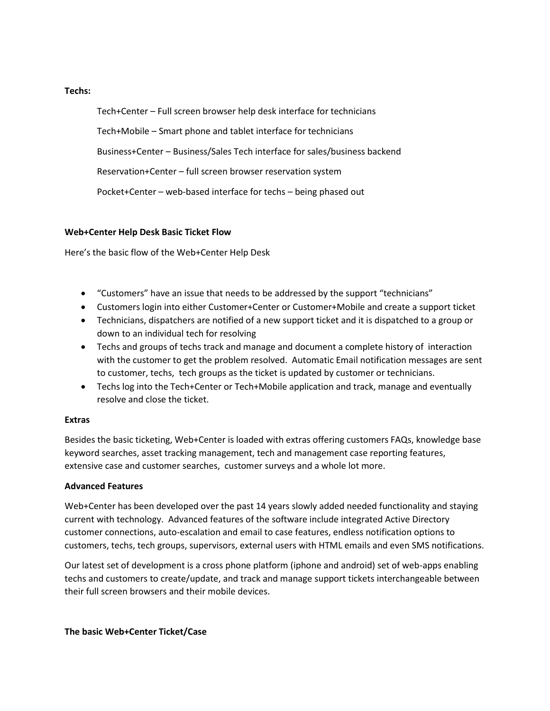#### **Techs:**

Tech+Center – Full screen browser help desk interface for technicians Tech+Mobile – Smart phone and tablet interface for technicians Business+Center – Business/Sales Tech interface for sales/business backend Reservation+Center – full screen browser reservation system Pocket+Center – web-based interface for techs – being phased out

#### **Web+Center Help Desk Basic Ticket Flow**

Here's the basic flow of the Web+Center Help Desk

- "Customers" have an issue that needs to be addressed by the support "technicians"
- Customers login into either Customer+Center or Customer+Mobile and create a support ticket
- Technicians, dispatchers are notified of a new support ticket and it is dispatched to a group or down to an individual tech for resolving
- Techs and groups of techs track and manage and document a complete history of interaction with the customer to get the problem resolved. Automatic Email notification messages are sent to customer, techs, tech groups as the ticket is updated by customer or technicians.
- Techs log into the Tech+Center or Tech+Mobile application and track, manage and eventually resolve and close the ticket.

#### **Extras**

Besides the basic ticketing, Web+Center is loaded with extras offering customers FAQs, knowledge base keyword searches, asset tracking management, tech and management case reporting features, extensive case and customer searches, customer surveys and a whole lot more.

#### **Advanced Features**

Web+Center has been developed over the past 14 years slowly added needed functionality and staying current with technology. Advanced features of the software include integrated Active Directory customer connections, auto-escalation and email to case features, endless notification options to customers, techs, tech groups, supervisors, external users with HTML emails and even SMS notifications.

Our latest set of development is a cross phone platform (iphone and android) set of web-apps enabling techs and customers to create/update, and track and manage support tickets interchangeable between their full screen browsers and their mobile devices.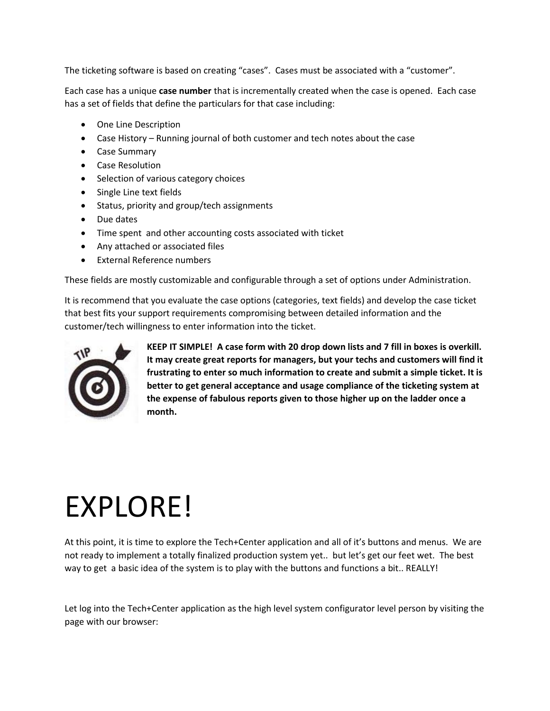The ticketing software is based on creating "cases". Cases must be associated with a "customer".

Each case has a unique **case number** that is incrementally created when the case is opened. Each case has a set of fields that define the particulars for that case including:

- One Line Description
- Case History Running journal of both customer and tech notes about the case
- Case Summary
- Case Resolution
- Selection of various category choices
- Single Line text fields
- Status, priority and group/tech assignments
- Due dates
- Time spent and other accounting costs associated with ticket
- Any attached or associated files
- External Reference numbers

These fields are mostly customizable and configurable through a set of options under Administration.

It is recommend that you evaluate the case options (categories, text fields) and develop the case ticket that best fits your support requirements compromising between detailed information and the customer/tech willingness to enter information into the ticket.



**KEEP IT SIMPLE! A case form with 20 drop down lists and 7 fill in boxes is overkill. It may create great reports for managers, but your techs and customers will find it frustrating to enter so much information to create and submit a simple ticket. It is better to get general acceptance and usage compliance of the ticketing system at the expense of fabulous reports given to those higher up on the ladder once a month.**

## EXPLORE!

At this point, it is time to explore the Tech+Center application and all of it's buttons and menus. We are not ready to implement a totally finalized production system yet.. but let's get our feet wet. The best way to get a basic idea of the system is to play with the buttons and functions a bit.. REALLY!

Let log into the Tech+Center application as the high level system configurator level person by visiting the page with our browser: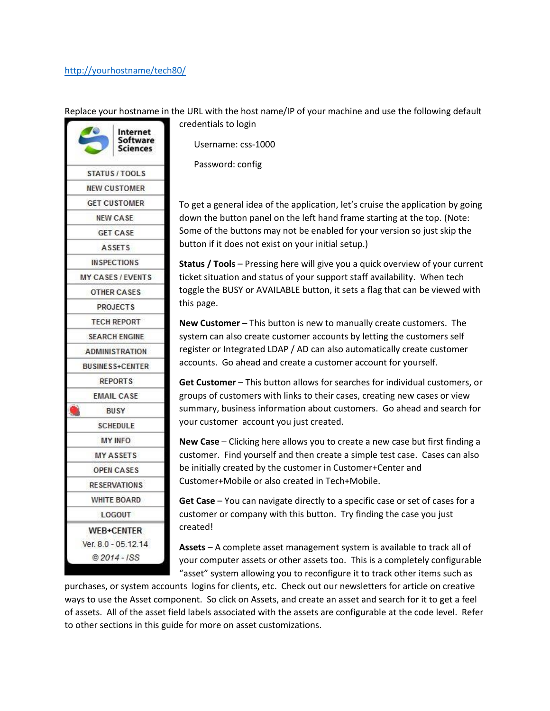#### <http://yourhostname/tech80/>

Replace your hostname in the URL with the host name/IP of your machine and use the following default

| Inte<br>Softı<br>Science |
|--------------------------|
| STATUS / TOOLS           |
| <b>NEW CUSTOMER</b>      |
| <b>GET CUSTOMER</b>      |
| <b>NEW CASE</b>          |
| <b>GET CASE</b>          |
| ASSETS                   |
| <b>INSPECTIONS</b>       |
| MY CASES / EVENTS        |
| OTHER CASES              |
| <b>PROJECTS</b>          |
| <b>TECH REPORT</b>       |
| <b>SEARCH ENGINE</b>     |
| ADMINISTRATION           |
| <b>BUSINESS+CENTER</b>   |
| <b>REPORTS</b>           |
| EMAIL CASE               |
| <b>BUSY</b>              |
| SCHEDULE                 |
| <b>MY INFO</b>           |
| <b>MY ASSETS</b>         |
| <b>OPEN CASES</b>        |
| <b>RESERVATIONS</b>      |
| WHITE BOARD              |
| LOGOUT                   |
| <b>WEB+CENTER</b>        |
| Ver. 8.0 - 05.12.14      |
| $@2014 - ISS$            |

credentials to login

Username: css-1000

Password: config

To get a general idea of the application, let's cruise the application by going down the button panel on the left hand frame starting at the top. (Note: Some of the buttons may not be enabled for your version so just skip the button if it does not exist on your initial setup.)

**Status / Tools** – Pressing here will give you a quick overview of your current ticket situation and status of your support staff availability. When tech toggle the BUSY or AVAILABLE button, it sets a flag that can be viewed with this page.

**New Customer** – This button is new to manually create customers. The system can also create customer accounts by letting the customers self register or Integrated LDAP / AD can also automatically create customer accounts. Go ahead and create a customer account for yourself.

**Get Customer** – This button allows for searches for individual customers, or groups of customers with links to their cases, creating new cases or view summary, business information about customers. Go ahead and search for your customer account you just created.

**New Case** – Clicking here allows you to create a new case but first finding a customer. Find yourself and then create a simple test case. Cases can also be initially created by the customer in Customer+Center and Customer+Mobile or also created in Tech+Mobile.

**Get Case** – You can navigate directly to a specific case or set of cases for a customer or company with this button. Try finding the case you just created!

**Assets** – A complete asset management system is available to track all of your computer assets or other assets too. This is a completely configurable "asset" system allowing you to reconfigure it to track other items such as

purchases, or system accounts logins for clients, etc. Check out our newsletters for article on creative ways to use the Asset component. So click on Assets, and create an asset and search for it to get a feel of assets. All of the asset field labels associated with the assets are configurable at the code level. Refer to other sections in this guide for more on asset customizations.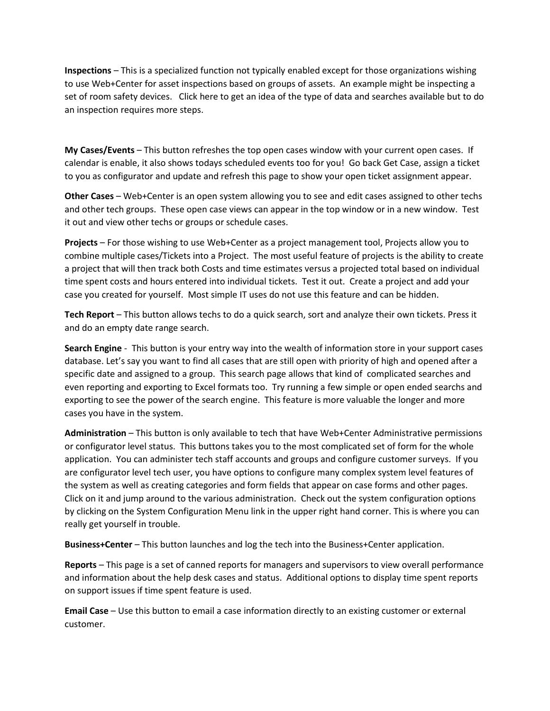**Inspections** – This is a specialized function not typically enabled except for those organizations wishing to use Web+Center for asset inspections based on groups of assets. An example might be inspecting a set of room safety devices. Click here to get an idea of the type of data and searches available but to do an inspection requires more steps.

**My Cases/Events** – This button refreshes the top open cases window with your current open cases. If calendar is enable, it also shows todays scheduled events too for you! Go back Get Case, assign a ticket to you as configurator and update and refresh this page to show your open ticket assignment appear.

**Other Cases** – Web+Center is an open system allowing you to see and edit cases assigned to other techs and other tech groups. These open case views can appear in the top window or in a new window. Test it out and view other techs or groups or schedule cases.

**Projects** – For those wishing to use Web+Center as a project management tool, Projects allow you to combine multiple cases/Tickets into a Project. The most useful feature of projects is the ability to create a project that will then track both Costs and time estimates versus a projected total based on individual time spent costs and hours entered into individual tickets. Test it out. Create a project and add your case you created for yourself. Most simple IT uses do not use this feature and can be hidden.

**Tech Report** – This button allows techs to do a quick search, sort and analyze their own tickets. Press it and do an empty date range search.

**Search Engine** - This button is your entry way into the wealth of information store in your support cases database. Let's say you want to find all cases that are still open with priority of high and opened after a specific date and assigned to a group. This search page allows that kind of complicated searches and even reporting and exporting to Excel formats too. Try running a few simple or open ended searchs and exporting to see the power of the search engine. This feature is more valuable the longer and more cases you have in the system.

**Administration** – This button is only available to tech that have Web+Center Administrative permissions or configurator level status. This buttons takes you to the most complicated set of form for the whole application. You can administer tech staff accounts and groups and configure customer surveys. If you are configurator level tech user, you have options to configure many complex system level features of the system as well as creating categories and form fields that appear on case forms and other pages. Click on it and jump around to the various administration. Check out the system configuration options by clicking on the System Configuration Menu link in the upper right hand corner. This is where you can really get yourself in trouble.

**Business+Center** – This button launches and log the tech into the Business+Center application.

**Reports** – This page is a set of canned reports for managers and supervisors to view overall performance and information about the help desk cases and status. Additional options to display time spent reports on support issues if time spent feature is used.

**Email Case** – Use this button to email a case information directly to an existing customer or external customer.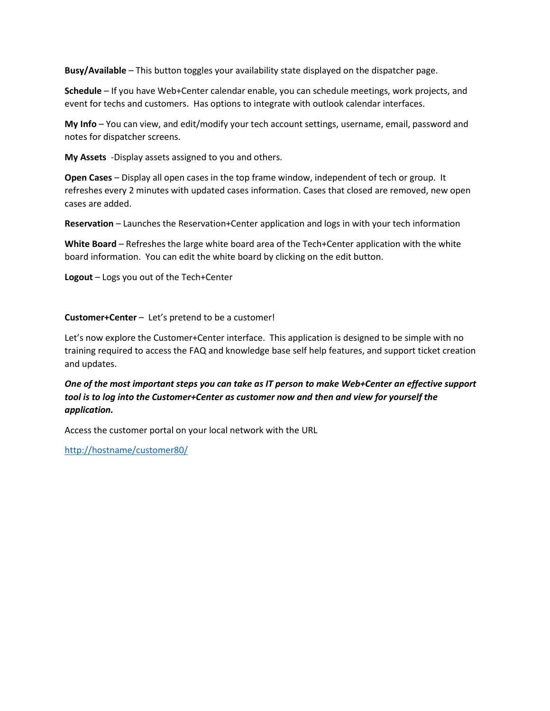**Busy/Available** – This button toggles your availability state displayed on the dispatcher page.

**Schedule** – If you have Web+Center calendar enable, you can schedule meetings, work projects, and event for techs and customers. Has options to integrate with outlook calendar interfaces.

**My Info** – You can view, and edit/modify your tech account settings, username, email, password and notes for dispatcher screens.

**My Assets** -Display assets assigned to you and others.

**Open Cases** – Display all open cases in the top frame window, independent of tech or group. It refreshes every 2 minutes with updated cases information. Cases that closed are removed, new open cases are added.

**Reservation** – Launches the Reservation+Center application and logs in with your tech information

**White Board** – Refreshes the large white board area of the Tech+Center application with the white board information. You can edit the white board by clicking on the edit button.

**Logout** – Logs you out of the Tech+Center

#### **Customer+Center** – Let's pretend to be a customer!

Let's now explore the Customer+Center interface. This application is designed to be simple with no training required to access the FAQ and knowledge base self help features, and support ticket creation and updates.

*One of the most important steps you can take as IT person to make Web+Center an effective support tool is to log into the Customer+Center as customer now and then and view for yourself the application.*

Access the customer portal on your local network with the URL

<http://hostname/customer80/>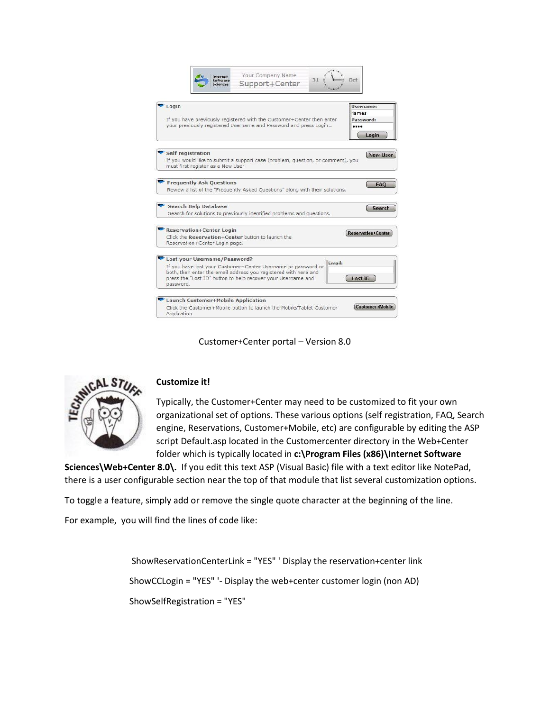|                             | Internet<br>Software<br>Sciences                                  | Your Company Name<br>Support+Center                                                                                                                                                              | 31     | Dct.                                            |
|-----------------------------|-------------------------------------------------------------------|--------------------------------------------------------------------------------------------------------------------------------------------------------------------------------------------------|--------|-------------------------------------------------|
| $\blacktriangleright$ Login |                                                                   | If you have previously registered with the Customer+Center then enter<br>your previously registered Username and Password and press Login:.                                                      |        | Username:<br><i>iames</i><br>Password:<br>Login |
| Self registration           | must first register as a New User                                 | If you would like to submit a support case (problem, question, or comment), you                                                                                                                  |        | New User                                        |
|                             | Frequently Ask Questions                                          | Review a list of the "Frequently Asked Questions" along with their solutions.                                                                                                                    |        | <b>FAO</b>                                      |
|                             | <b>Search Help Database</b>                                       | Search for solutions to previously identified problems and questions.                                                                                                                            |        | <b>Search</b>                                   |
|                             | <b>Reservation+Center Login</b><br>Reservation+Center Login page. | Click the Reservation+Center button to launch the                                                                                                                                                |        | <b>Reservation+Center</b>                       |
| password.                   | Lost your Username/Password?                                      | If you have lost your Customer+Center Username or password or<br>both, then enter the email address you registered with here and<br>press the "Lost ID" button to help recover your Username and | Email: | <b>Lost ID</b>                                  |
| Application                 | <b>Launch Customer+Mobile Application</b>                         | Click the Customer+Mobile button to launch the Mobile/Tablet Customer                                                                                                                            |        | <b>Customer+Mobile</b>                          |

Customer+Center portal – Version 8.0



#### **Customize it!**

Typically, the Customer+Center may need to be customized to fit your own organizational set of options. These various options (self registration, FAQ, Search engine, Reservations, Customer+Mobile, etc) are configurable by editing the ASP script Default.asp located in the Customercenter directory in the Web+Center folder which is typically located in **c:\Program Files (x86)\Internet Software** 

**Sciences\Web+Center 8.0\.** If you edit this text ASP (Visual Basic) file with a text editor like NotePad, there is a user configurable section near the top of that module that list several customization options.

To toggle a feature, simply add or remove the single quote character at the beginning of the line.

For example, you will find the lines of code like:

ShowReservationCenterLink = "YES" ' Display the reservation+center link ShowCCLogin = "YES" '- Display the web+center customer login (non AD) ShowSelfRegistration = "YES"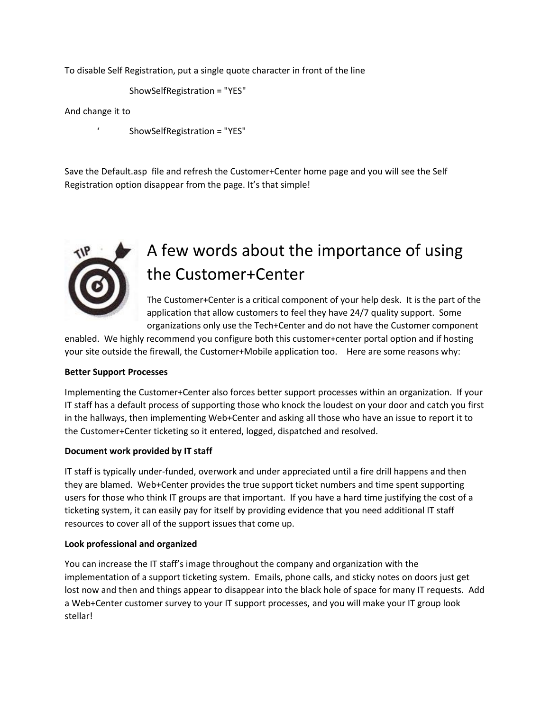To disable Self Registration, put a single quote character in front of the line

ShowSelfRegistration = "YES"

#### And change it to

' ShowSelfRegistration = "YES"

Save the Default.asp file and refresh the Customer+Center home page and you will see the Self Registration option disappear from the page. It's that simple!



## A few words about the importance of using the Customer+Center

The Customer+Center is a critical component of your help desk. It is the part of the application that allow customers to feel they have 24/7 quality support. Some organizations only use the Tech+Center and do not have the Customer component

enabled. We highly recommend you configure both this customer+center portal option and if hosting your site outside the firewall, the Customer+Mobile application too. Here are some reasons why:

#### **Better Support Processes**

Implementing the Customer+Center also forces better support processes within an organization. If your IT staff has a default process of supporting those who knock the loudest on your door and catch you first in the hallways, then implementing Web+Center and asking all those who have an issue to report it to the Customer+Center ticketing so it entered, logged, dispatched and resolved.

#### **Document work provided by IT staff**

IT staff is typically under-funded, overwork and under appreciated until a fire drill happens and then they are blamed. Web+Center provides the true support ticket numbers and time spent supporting users for those who think IT groups are that important. If you have a hard time justifying the cost of a ticketing system, it can easily pay for itself by providing evidence that you need additional IT staff resources to cover all of the support issues that come up.

#### **Look professional and organized**

You can increase the IT staff's image throughout the company and organization with the implementation of a support ticketing system. Emails, phone calls, and sticky notes on doors just get lost now and then and things appear to disappear into the black hole of space for many IT requests. Add a Web+Center customer survey to your IT support processes, and you will make your IT group look stellar!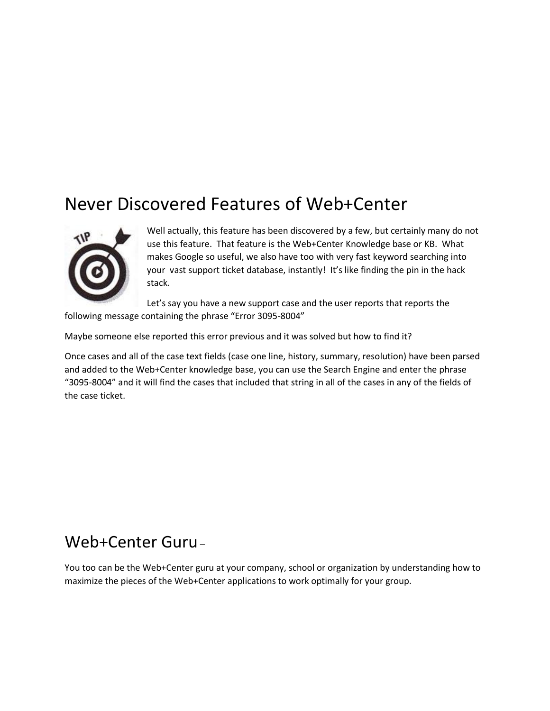## Never Discovered Features of Web+Center



Well actually, this feature has been discovered by a few, but certainly many do not use this feature. That feature is the Web+Center Knowledge base or KB. What makes Google so useful, we also have too with very fast keyword searching into your vast support ticket database, instantly! It's like finding the pin in the hack stack.

Let's say you have a new support case and the user reports that reports the following message containing the phrase "Error 3095-8004"

Maybe someone else reported this error previous and it was solved but how to find it?

Once cases and all of the case text fields (case one line, history, summary, resolution) have been parsed and added to the Web+Center knowledge base, you can use the Search Engine and enter the phrase "3095-8004" and it will find the cases that included that string in all of the cases in any of the fields of the case ticket.

### Web+Center Guru–

You too can be the Web+Center guru at your company, school or organization by understanding how to maximize the pieces of the Web+Center applications to work optimally for your group.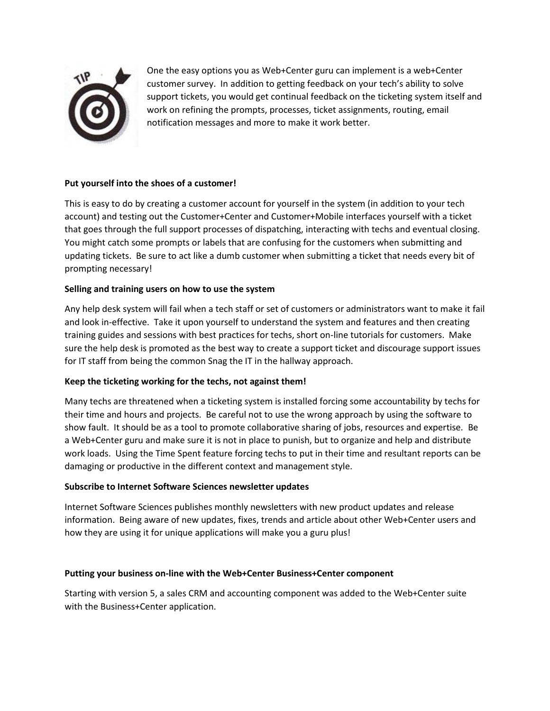

One the easy options you as Web+Center guru can implement is a web+Center customer survey. In addition to getting feedback on your tech's ability to solve support tickets, you would get continual feedback on the ticketing system itself and work on refining the prompts, processes, ticket assignments, routing, email notification messages and more to make it work better.

#### **Put yourself into the shoes of a customer!**

This is easy to do by creating a customer account for yourself in the system (in addition to your tech account) and testing out the Customer+Center and Customer+Mobile interfaces yourself with a ticket that goes through the full support processes of dispatching, interacting with techs and eventual closing. You might catch some prompts or labels that are confusing for the customers when submitting and updating tickets. Be sure to act like a dumb customer when submitting a ticket that needs every bit of prompting necessary!

#### **Selling and training users on how to use the system**

Any help desk system will fail when a tech staff or set of customers or administrators want to make it fail and look in-effective. Take it upon yourself to understand the system and features and then creating training guides and sessions with best practices for techs, short on-line tutorials for customers. Make sure the help desk is promoted as the best way to create a support ticket and discourage support issues for IT staff from being the common Snag the IT in the hallway approach.

#### **Keep the ticketing working for the techs, not against them!**

Many techs are threatened when a ticketing system is installed forcing some accountability by techs for their time and hours and projects. Be careful not to use the wrong approach by using the software to show fault. It should be as a tool to promote collaborative sharing of jobs, resources and expertise. Be a Web+Center guru and make sure it is not in place to punish, but to organize and help and distribute work loads. Using the Time Spent feature forcing techs to put in their time and resultant reports can be damaging or productive in the different context and management style.

#### **Subscribe to Internet Software Sciences newsletter updates**

Internet Software Sciences publishes monthly newsletters with new product updates and release information. Being aware of new updates, fixes, trends and article about other Web+Center users and how they are using it for unique applications will make you a guru plus!

#### **Putting your business on-line with the Web+Center Business+Center component**

Starting with version 5, a sales CRM and accounting component was added to the Web+Center suite with the Business+Center application.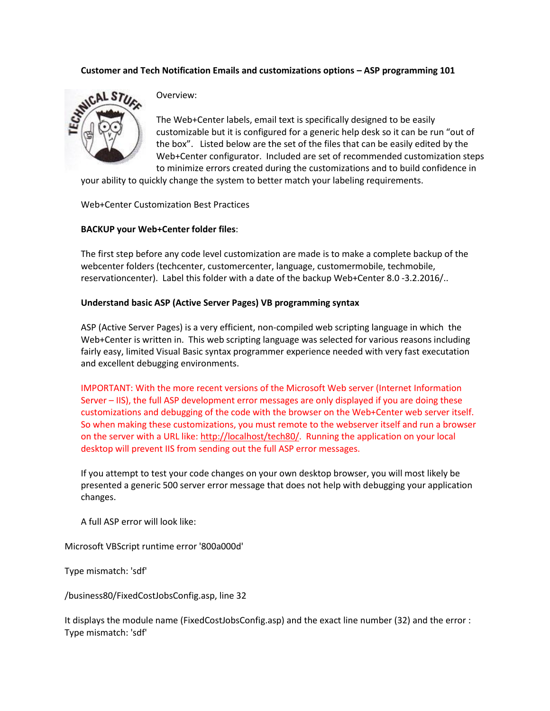#### **Customer and Tech Notification Emails and customizations options – ASP programming 101**



Overview:

The Web+Center labels, email text is specifically designed to be easily customizable but it is configured for a generic help desk so it can be run "out of the box". Listed below are the set of the files that can be easily edited by the Web+Center configurator. Included are set of recommended customization steps to minimize errors created during the customizations and to build confidence in

your ability to quickly change the system to better match your labeling requirements.

Web+Center Customization Best Practices

#### **BACKUP your Web+Center folder files**:

The first step before any code level customization are made is to make a complete backup of the webcenter folders (techcenter, customercenter, language, customermobile, techmobile, reservationcenter). Label this folder with a date of the backup Web+Center 8.0 -3.2.2016/..

#### **Understand basic ASP (Active Server Pages) VB programming syntax**

ASP (Active Server Pages) is a very efficient, non-compiled web scripting language in which the Web+Center is written in. This web scripting language was selected for various reasons including fairly easy, limited Visual Basic syntax programmer experience needed with very fast executation and excellent debugging environments.

IMPORTANT: With the more recent versions of the Microsoft Web server (Internet Information Server – IIS), the full ASP development error messages are only displayed if you are doing these customizations and debugging of the code with the browser on the Web+Center web server itself. So when making these customizations, you must remote to the webserver itself and run a browser on the server with a URL like: [http://localhost/tech80/.](http://localhost/tech80/) Running the application on your local desktop will prevent IIS from sending out the full ASP error messages.

If you attempt to test your code changes on your own desktop browser, you will most likely be presented a generic 500 server error message that does not help with debugging your application changes.

A full ASP error will look like:

Microsoft VBScript runtime error '800a000d'

Type mismatch: 'sdf'

/business80/FixedCostJobsConfig.asp, line 32

It displays the module name (FixedCostJobsConfig.asp) and the exact line number (32) and the error : Type mismatch: 'sdf'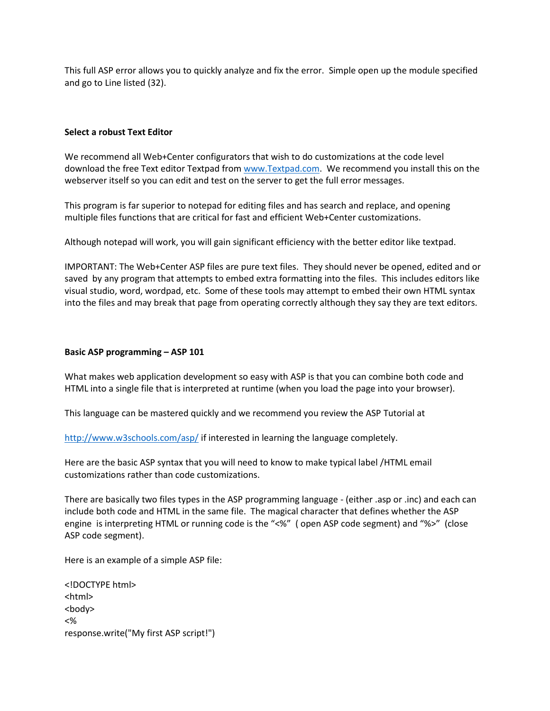This full ASP error allows you to quickly analyze and fix the error. Simple open up the module specified and go to Line listed (32).

#### **Select a robust Text Editor**

We recommend all Web+Center configurators that wish to do customizations at the code level download the free Text editor Textpad from [www.Textpad.com.](http://www.textpad.com/) We recommend you install this on the webserver itself so you can edit and test on the server to get the full error messages.

This program is far superior to notepad for editing files and has search and replace, and opening multiple files functions that are critical for fast and efficient Web+Center customizations.

Although notepad will work, you will gain significant efficiency with the better editor like textpad.

IMPORTANT: The Web+Center ASP files are pure text files. They should never be opened, edited and or saved by any program that attempts to embed extra formatting into the files. This includes editors like visual studio, word, wordpad, etc. Some of these tools may attempt to embed their own HTML syntax into the files and may break that page from operating correctly although they say they are text editors.

#### **Basic ASP programming – ASP 101**

What makes web application development so easy with ASP is that you can combine both code and HTML into a single file that is interpreted at runtime (when you load the page into your browser).

This language can be mastered quickly and we recommend you review the ASP Tutorial at

<http://www.w3schools.com/asp/> if interested in learning the language completely.

Here are the basic ASP syntax that you will need to know to make typical label /HTML email customizations rather than code customizations.

There are basically two files types in the ASP programming language - (either .asp or .inc) and each can include both code and HTML in the same file. The magical character that defines whether the ASP engine is interpreting HTML or running code is the "<%" (open ASP code segment) and "%>" (close ASP code segment).

Here is an example of a simple ASP file:

<!DOCTYPE html> <html> <body> <% response.write("My first ASP script!")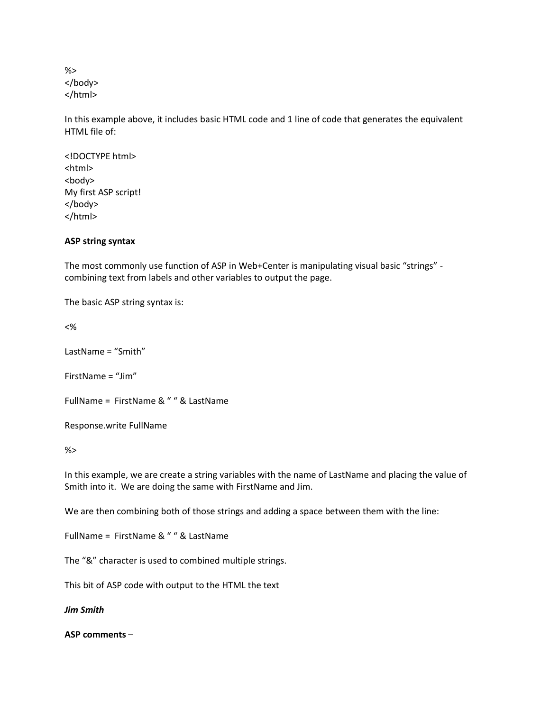%> </body> </html>

In this example above, it includes basic HTML code and 1 line of code that generates the equivalent HTML file of:

<!DOCTYPE html> <html> <body> My first ASP script! </body> </html>

#### **ASP string syntax**

The most commonly use function of ASP in Web+Center is manipulating visual basic "strings" combining text from labels and other variables to output the page.

The basic ASP string syntax is:

<%

LastName = "Smith"

FirstName = "Jim"

FullName = FirstName & " " & LastName

Response.write FullName

%>

In this example, we are create a string variables with the name of LastName and placing the value of Smith into it. We are doing the same with FirstName and Jim.

We are then combining both of those strings and adding a space between them with the line:

FullName = FirstName & " " & LastName

The "&" character is used to combined multiple strings.

This bit of ASP code with output to the HTML the text

*Jim Smith*

**ASP comments** –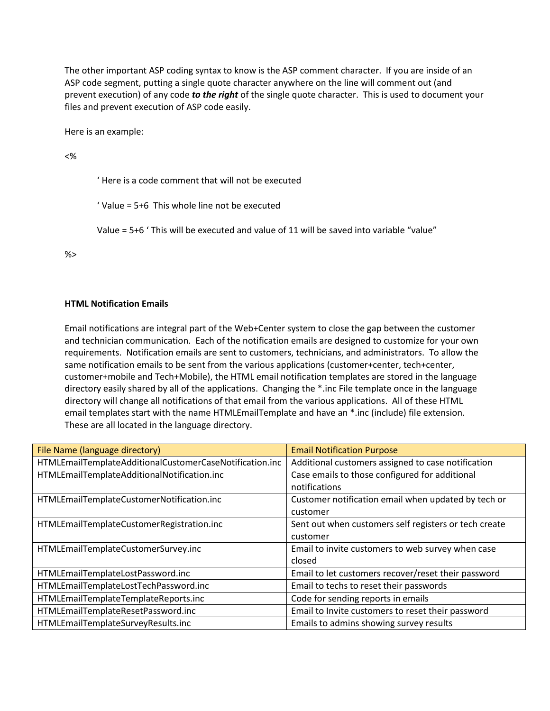The other important ASP coding syntax to know is the ASP comment character. If you are inside of an ASP code segment, putting a single quote character anywhere on the line will comment out (and prevent execution) of any code *to the right* of the single quote character. This is used to document your files and prevent execution of ASP code easily.

Here is an example:

<%

' Here is a code comment that will not be executed

' Value = 5+6 This whole line not be executed

Value = 5+6 ' This will be executed and value of 11 will be saved into variable "value"

%>

#### **HTML Notification Emails**

Email notifications are integral part of the Web+Center system to close the gap between the customer and technician communication. Each of the notification emails are designed to customize for your own requirements. Notification emails are sent to customers, technicians, and administrators. To allow the same notification emails to be sent from the various applications (customer+center, tech+center, customer+mobile and Tech+Mobile), the HTML email notification templates are stored in the language directory easily shared by all of the applications. Changing the \*.inc File template once in the language directory will change all notifications of that email from the various applications. All of these HTML email templates start with the name HTMLEmailTemplate and have an \*.inc (include) file extension. These are all located in the language directory.

| File Name (language directory)                          | <b>Email Notification Purpose</b>                     |
|---------------------------------------------------------|-------------------------------------------------------|
| HTMLEmailTemplateAdditionalCustomerCaseNotification.inc | Additional customers assigned to case notification    |
| HTMLEmailTemplateAdditionalNotification.inc             | Case emails to those configured for additional        |
|                                                         | notifications                                         |
| HTMLEmailTemplateCustomerNotification.inc               | Customer notification email when updated by tech or   |
|                                                         | customer                                              |
| HTMLEmailTemplateCustomerRegistration.inc               | Sent out when customers self registers or tech create |
|                                                         | customer                                              |
| HTMLEmailTemplateCustomerSurvey.inc                     | Email to invite customers to web survey when case     |
|                                                         | closed                                                |
| HTMLEmailTemplateLostPassword.inc                       | Email to let customers recover/reset their password   |
| HTMLEmailTemplateLostTechPassword.inc                   | Email to techs to reset their passwords               |
| HTMLEmailTemplateTemplateReports.inc                    | Code for sending reports in emails                    |
| HTMLEmailTemplateResetPassword.inc                      | Email to Invite customers to reset their password     |
| HTMLEmailTemplateSurveyResults.inc                      | Emails to admins showing survey results               |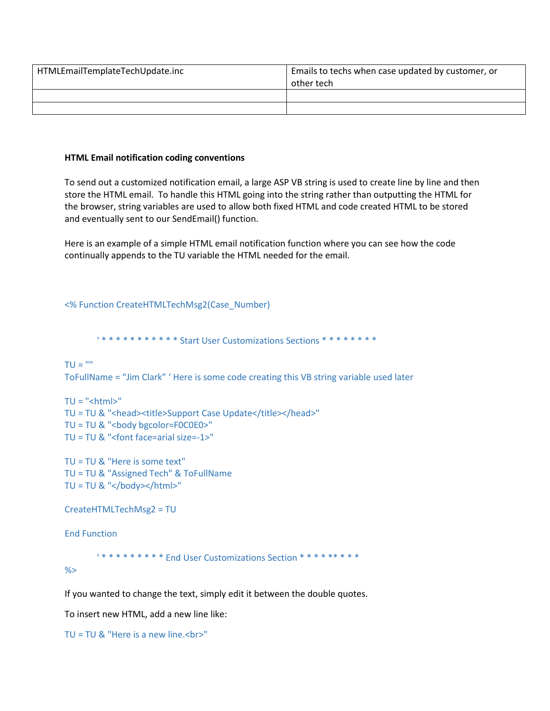| HTMLEmailTemplateTechUpdate.inc | Emails to techs when case updated by customer, or<br>other tech |
|---------------------------------|-----------------------------------------------------------------|
|                                 |                                                                 |
|                                 |                                                                 |

#### **HTML Email notification coding conventions**

To send out a customized notification email, a large ASP VB string is used to create line by line and then store the HTML email. To handle this HTML going into the string rather than outputting the HTML for the browser, string variables are used to allow both fixed HTML and code created HTML to be stored and eventually sent to our SendEmail() function.

Here is an example of a simple HTML email notification function where you can see how the code continually appends to the TU variable the HTML needed for the email.

<% Function CreateHTMLTechMsg2(Case\_Number)

' \* \* \* \* \* \* \* \* \* \* \* Start User Customizations Sections \* \* \* \* \* \* \* \*

 $TU =$  ""

ToFullName = "Jim Clark" ' Here is some code creating this VB string variable used later

 $TU = "chtml>"$ TU = TU & "<head><title>Support Case Update</title></head>"  $TU = TU & ""$ TU = TU & "<font face=arial size=-1>"

TU = TU & "Here is some text" TU = TU & "Assigned Tech" & ToFullName  $TU = TU & **"**$  /body></html>"

CreateHTMLTechMsg2 = TU

End Function

' \* \* \* \* \* \* \* \* \* End User Customizations Section \* \* \* \* \*\* \* \* \*

 $%$ 

If you wanted to change the text, simply edit it between the double quotes.

To insert new HTML, add a new line like:

TU = TU  $\&$  "Here is a new line.<br>"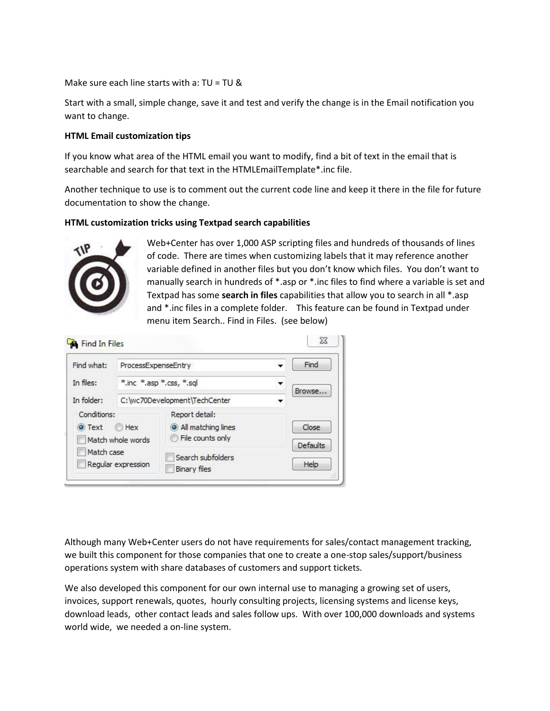Make sure each line starts with a:  $TU = TU &$ 

Start with a small, simple change, save it and test and verify the change is in the Email notification you want to change.

#### **HTML Email customization tips**

If you know what area of the HTML email you want to modify, find a bit of text in the email that is searchable and search for that text in the HTMLEmailTemplate\*.inc file.

Another technique to use is to comment out the current code line and keep it there in the file for future documentation to show the change.

#### **HTML customization tricks using Textpad search capabilities**



Web+Center has over 1,000 ASP scripting files and hundreds of thousands of lines of code. There are times when customizing labels that it may reference another variable defined in another files but you don't know which files. You don't want to manually search in hundreds of \*.asp or \*.inc files to find where a variable is set and Textpad has some **search in files** capabilities that allow you to search in all \*.asp and \*.inc files in a complete folder. This feature can be found in Textpad under menu item Search.. Find in Files. (see below)

| Find what:                                                        | ProcessExpenseEntry                      |                                                          | Find              |
|-------------------------------------------------------------------|------------------------------------------|----------------------------------------------------------|-------------------|
| In files:                                                         | *.inc *.asp *.css, *.sql                 |                                                          | Browse            |
| In folder:                                                        | C: \wc70Development\TechCenter           |                                                          |                   |
| Conditions:<br><b>O</b> Hex<br><b>O</b> Text<br>Match whole words |                                          | Report detail:<br>All matching lines<br>File counts only | Close<br>Defaults |
| Match case<br>Regular expression                                  | Search subfolders<br><b>Binary files</b> | Help                                                     |                   |

Although many Web+Center users do not have requirements for sales/contact management tracking, we built this component for those companies that one to create a one-stop sales/support/business operations system with share databases of customers and support tickets.

We also developed this component for our own internal use to managing a growing set of users, invoices, support renewals, quotes, hourly consulting projects, licensing systems and license keys, download leads, other contact leads and sales follow ups. With over 100,000 downloads and systems world wide, we needed a on-line system.